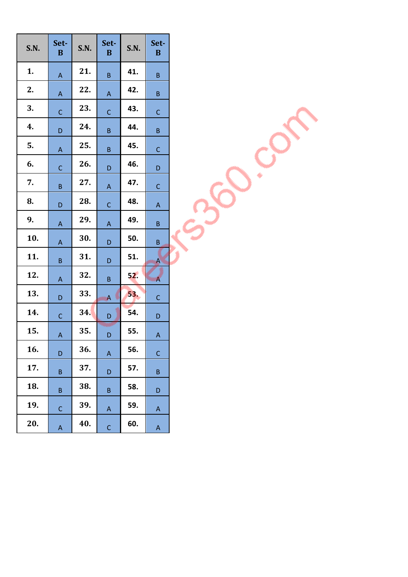| <b>S.N.</b> | Set-<br>$\bf{B}$ | S.N. | Set-<br>B      | S.N. | Set-<br>B               |
|-------------|------------------|------|----------------|------|-------------------------|
| 1.          | A                | 21.  | $\sf B$        | 41.  | B                       |
| 2.          | A                | 22.  | A              | 42.  | B                       |
| 3.          | $\mathsf{C}$     | 23.  | $\overline{C}$ | 43.  | C                       |
| 4.          | D                | 24.  | B              | 44.  | B                       |
| 5.          | A                | 25.  | B              | 45.  | C                       |
| 6.          | $\overline{C}$   | 26.  | D              | 46.  | D                       |
| 7.          | B                | 27.  | A              | 47.  | C                       |
| 8.          | D                | 28.  | $\mathsf{C}$   | 48.  | A                       |
| 9.          | A                | 29.  | A              | 49.  | B                       |
| 10.         | A                | 30.  | D              | 50.  | B                       |
| 11.         | B                | 31.  | D              | 51.  | A                       |
| 12.         | A                | 32.  | $\sf B$        | 52.  | $\overline{\mathsf{A}}$ |
| 13.         | D                | 33.  | A              | 53.  | C                       |
| 14.         | $\mathsf{C}$     | 34.  | D              | 54.  | D                       |
| 15.         | A                | 35.  | D              | 55.  | A                       |
| 16.         | D                | 36.  | A              | 56.  | $\mathsf{C}$            |
| 17.         | B                | 37.  | D              | 57.  | B                       |
| 18.         | B                | 38.  | B              | 58.  | D                       |
| 19.         | C                | 39.  | Α              | 59.  | Α                       |
| 20.         | A                | 40.  | $\mathsf{C}$   | 60.  | A                       |